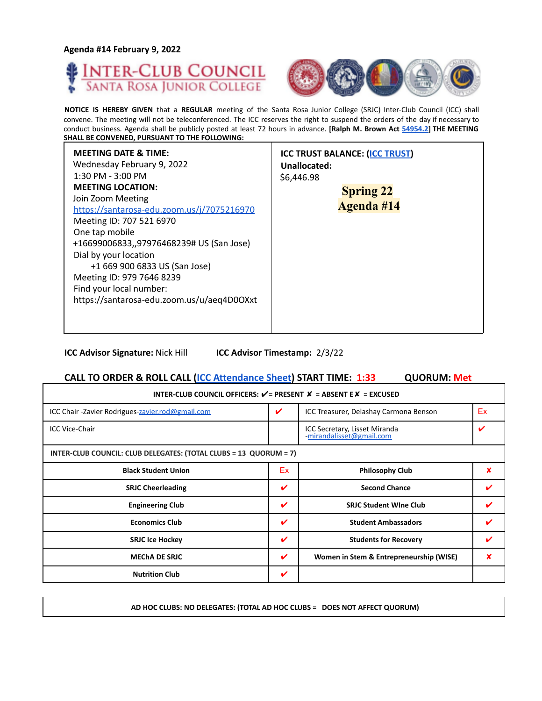**Agenda #14 February 9, 2022**





**NOTICE IS HEREBY GIVEN** that a **REGULAR** meeting of the Santa Rosa Junior College (SRJC) Inter-Club Council (ICC) shall convene. The meeting will not be teleconferenced. The ICC reserves the right to suspend the orders of the day if necessary to conduct business. Agenda shall be publicly posted at least 72 hours in advance. **[Ralph M. Brown Act 54954.2] THE MEETING SHALL BE CONVENED, PURSUANT TO THE FOLLOWING:**

| <b>MEETING DATE &amp; TIME:</b><br>Wednesday February 9, 2022<br>$1:30$ PM - $3:00$ PM<br><b>MEETING LOCATION:</b><br>Join Zoom Meeting<br>https://santarosa-edu.zoom.us/j/7075216970<br>Meeting ID: 707 521 6970<br>One tap mobile<br>+16699006833,,97976468239# US (San Jose)<br>Dial by your location<br>+1 669 900 6833 US (San Jose)<br>Meeting ID: 979 7646 8239<br>Find your local number:<br>https://santarosa-edu.zoom.us/u/aeq4D0OXxt | <b>ICC TRUST BALANCE: (ICC TRUST)</b><br>Unallocated:<br>\$6,446.98<br><b>Spring 22</b><br><b>Agenda #14</b> |
|-------------------------------------------------------------------------------------------------------------------------------------------------------------------------------------------------------------------------------------------------------------------------------------------------------------------------------------------------------------------------------------------------------------------------------------------------|--------------------------------------------------------------------------------------------------------------|
|-------------------------------------------------------------------------------------------------------------------------------------------------------------------------------------------------------------------------------------------------------------------------------------------------------------------------------------------------------------------------------------------------------------------------------------------------|--------------------------------------------------------------------------------------------------------------|

**ICC Advisor Signature:** Nick Hill **ICC Advisor Timestamp:** 2/3/22

#### **CALL TO ORDER & ROLL CALL (ICC Attendance Sheet) START TIME: 1:33 QUORUM: Met**

| INTER-CLUB COUNCIL OFFICERS: $V = P$ RESENT $X = AB$ SENT E $X = EXCUSED$ |    |                                                           |    |  |
|---------------------------------------------------------------------------|----|-----------------------------------------------------------|----|--|
| ICC Chair - Zavier Rodrigues-zavier.rod@gmail.com                         | V  | ICC Treasurer, Delashay Carmona Benson                    | Ex |  |
| <b>ICC Vice-Chair</b>                                                     |    | ICC Secretary, Lisset Miranda<br>-mirandalisset@gmail.com |    |  |
| INTER-CLUB COUNCIL: CLUB DELEGATES: (TOTAL CLUBS = 13 QUORUM = 7)         |    |                                                           |    |  |
| <b>Black Student Union</b>                                                | Ex | <b>Philosophy Club</b>                                    | x  |  |
| <b>SRJC Cheerleading</b>                                                  | V  | <b>Second Chance</b>                                      |    |  |
| <b>Engineering Club</b>                                                   | V  | <b>SRJC Student Wine Club</b>                             |    |  |
| <b>Economics Club</b>                                                     | V  | <b>Student Ambassadors</b>                                |    |  |
| <b>SRJC Ice Hockey</b>                                                    | V  | <b>Students for Recovery</b>                              |    |  |
| <b>MECHA DE SRJC</b>                                                      | ✓  | Women in Stem & Entrepreneurship (WISE)                   |    |  |
| <b>Nutrition Club</b>                                                     | V  |                                                           |    |  |

**AD HOC CLUBS: NO DELEGATES: (TOTAL AD HOC CLUBS = DOES NOT AFFECT QUORUM)**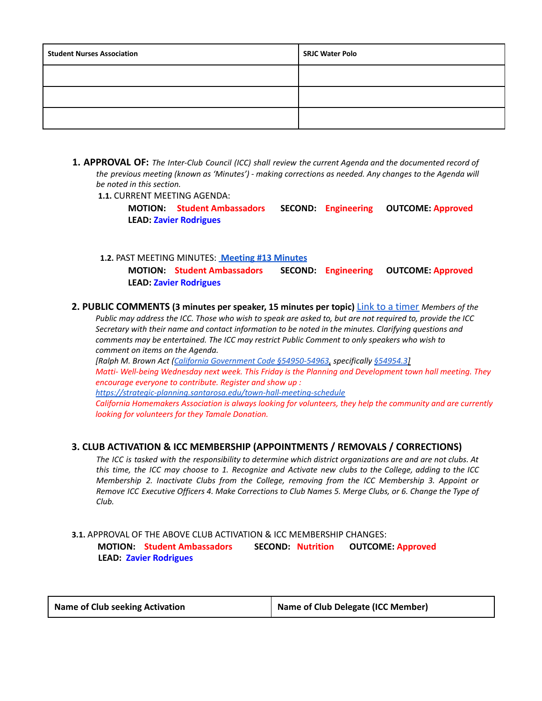| <b>Student Nurses Association</b> | <b>SRJC Water Polo</b> |
|-----------------------------------|------------------------|
|                                   |                        |
|                                   |                        |
|                                   |                        |

**1. APPROVAL OF:** *The Inter-Club Council (ICC) shall review the current Agenda and the documented record of the previous meeting (known as 'Minutes') - making corrections as needed. Any changes to the Agenda will be noted in this section.*

**1.1.** CURRENT MEETING AGENDA:

**MOTION: Student Ambassadors SECOND: Engineering OUTCOME: Approved LEAD: Zavier Rodrigues**

**1.2.** PAST MEETING MINUTES: **[Meeting](https://docs.google.com/document/d/1LZ0_QUWC0CCRMBSTxIijGBXSWFeNcm6mRslZ6sZaO9w/edit?usp=sharing) #13 Minutes**

**MOTION: Student Ambassadors SECOND: Engineering OUTCOME: Approved LEAD: Zavier Rodrigues**

**2. PUBLIC COMMENTS (3 minutes per speaker, 15 minutes per topic)** Link to a timer *Members of the*

Public may address the ICC. Those who wish to speak are asked to, but are not required to, provide the ICC *Secretary with their name and contact information to be noted in the minutes. Clarifying questions and comments may be entertained. The ICC may restrict Public Comment to only speakers who wish to comment on items on the Agenda.*

*[Ralph M. Brown Act (California Government Code §54950-54963, specifically §54954.3]*

*Matti- Well-being Wednesday next week. This Friday is the Planning and Development town hall meeting. They encourage everyone to contribute. Register and show up :*

*<https://strategic-planning.santarosa.edu/town-hall-meeting-schedule>*

*California Homemakers Association is always looking for volunteers, they help the community and are currently looking for volunteers for they Tamale Donation.*

# **3. CLUB ACTIVATION & ICC MEMBERSHIP (APPOINTMENTS / REMOVALS / CORRECTIONS)**

The ICC is tasked with the responsibility to determine which district organizations are and are not clubs. At this time, the ICC may choose to 1. Recognize and Activate new clubs to the College, adding to the ICC *Membership 2. Inactivate Clubs from the College, removing from the ICC Membership 3. Appoint or* Remove ICC Executive Officers 4. Make Corrections to Club Names 5. Merge Clubs, or 6. Change the Type of *Club.*

### **3.1.** APPROVAL OF THE ABOVE CLUB ACTIVATION & ICC MEMBERSHIP CHANGES: **MOTION: Student Ambassadors SECOND: Nutrition OUTCOME: Approved LEAD: Zavier Rodrigues**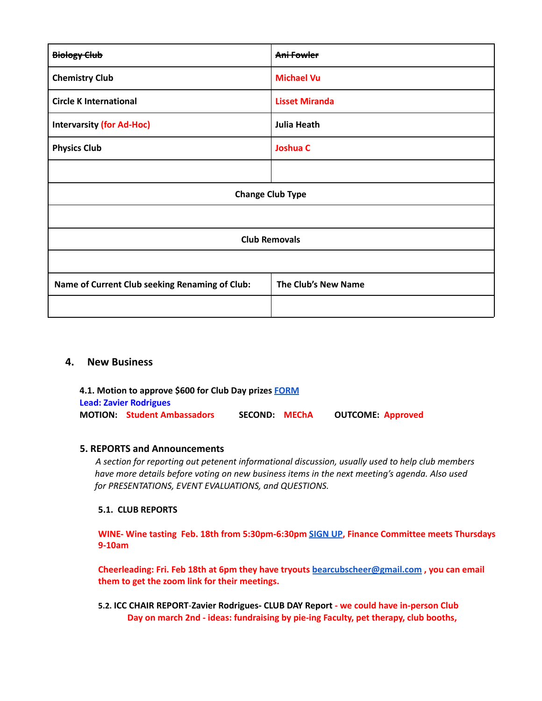| <b>Biology Club</b>                            | Ani Fowler            |  |
|------------------------------------------------|-----------------------|--|
| <b>Chemistry Club</b>                          | <b>Michael Vu</b>     |  |
| <b>Circle K International</b>                  | <b>Lisset Miranda</b> |  |
| <b>Intervarsity (for Ad-Hoc)</b>               | <b>Julia Heath</b>    |  |
| <b>Physics Club</b>                            | <b>Joshua C</b>       |  |
|                                                |                       |  |
| <b>Change Club Type</b>                        |                       |  |
|                                                |                       |  |
| <b>Club Removals</b>                           |                       |  |
|                                                |                       |  |
| Name of Current Club seeking Renaming of Club: | The Club's New Name   |  |
|                                                |                       |  |

#### **4. New Business**

**4.1. Motion to approve \$600 for Club Day prizes [FORM](https://studentlife.santarosa.edu/sites/studentlife.santarosa.edu/files/documents/ICC%20Grant%20Application%20-Club%20Day%20Giveaway%20%281%29.pdf) Lead: Zavier Rodrigues MOTION: Student Ambassadors SECOND: MEChA OUTCOME: Approved**

#### **5. REPORTS and Announcements**

*A section for reporting out petenent informational discussion, usually used to help club members have more details before voting on new business items in the next meeting's agenda. Also used for PRESENTATIONS, EVENT EVALUATIONS, and QUESTIONS.*

#### **5.1. CLUB REPORTS**

**WINE- Wine tasting Feb. 18th from 5:30pm-6:30pm [SIGN](https://docs.google.com/forms/d/e/1FAIpQLScaZ9AmCT_u90b60G6dRzgl-BAlmpD0pM0xS_gCvDn9H8H8Ag/viewform) UP, Finance Committee meets Thursdays 9-10am**

**Cheerleading: Fri. Feb 18th at 6pm they have tryouts [bearcubscheer@gmail.com](mailto:bearcubscheer@gmail.com) , you can email them to get the zoom link for their meetings.**

**5.2. ICC CHAIR REPORT**-**Zavier Rodrigues- CLUB DAY Report - we could have in-person Club Day on march 2nd - ideas: fundraising by pie-ing Faculty, pet therapy, club booths,**